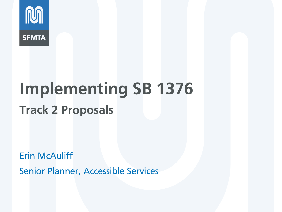

# **Implementing SB 1376 Track 2 Proposals**

Erin McAuliff

Senior Planner, Accessible Services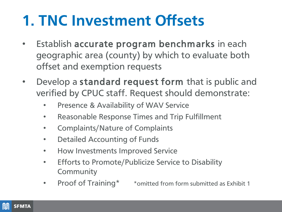## **1. TNC Investment Offsets**

- Establish accurate program benchmarks in each geographic area (county) by which to evaluate both offset and exemption requests
- Develop a standard request form that is public and verified by CPUC staff. Request should demonstrate:
	- Presence & Availability of WAV Service
	- Reasonable Response Times and Trip Fulfillment
	- Complaints/Nature of Complaints
	- Detailed Accounting of Funds
	- How Investments Improved Service
	- Efforts to Promote/Publicize Service to Disability **Community**
	- Proof of Training\* \* omitted from form submitted as Exhibit 1

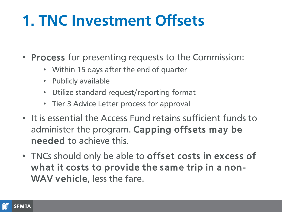## **1. TNC Investment Offsets**

- Process for presenting requests to the Commission:
	- Within 15 days after the end of quarter
	- Publicly available
	- Utilize standard request/reporting format
	- Tier 3 Advice Letter process for approval
- It is essential the Access Fund retains sufficient funds to administer the program. Capping offsets may be needed to achieve this.
- TNCs should only be able to offset costs in excess of what it costs to provide the same trip in a non-WAV vehicle, less the fare.

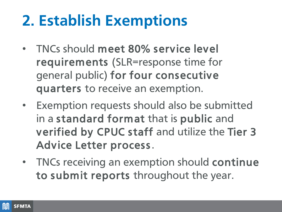### **2. Establish Exemptions**

- TNCs should meet 80% service level requirements (SLR=response time for general public) for four consecutive quarters to receive an exemption.
- Exemption requests should also be submitted in a standard format that is public and verified by CPUC staff and utilize the Tier 3 Advice Letter process.
- TNCs receiving an exemption should continue to submit reports throughout the year.

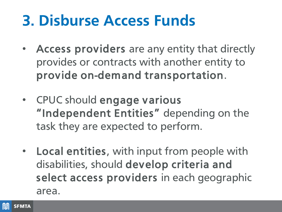## **3. Disburse Access Funds**

- Access providers are any entity that directly provides or contracts with another entity to provide on-demand transportation.
- CPUC should engage various "Independent Entities" depending on the task they are expected to perform.
- Local entities, with input from people with disabilities, should develop criteria and select access providers in each geographic area.

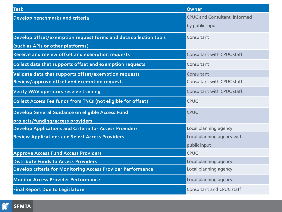| <b>Task</b>                                                      | Owner                                |
|------------------------------------------------------------------|--------------------------------------|
| Develop benchmarks and criteria                                  | <b>CPUC and Consultant, informed</b> |
|                                                                  | by public input                      |
| Develop offset/exemption request forms and data collection tools | Consultant                           |
| (such as APIs or other platforms)                                |                                      |
| Receive and review offset and exemption requests                 | <b>Consultant with CPUC staff</b>    |
| Collect data that supports offset and exemption requests         | Consultant                           |
| Validate data that supports offset/exemption requests            | Consultant                           |
| Review/approve offset and exemption requests                     | <b>Consultant with CPUC staff</b>    |
| <b>Verify WAV operators receive training</b>                     | <b>Consultant with CPUC staff</b>    |
| Collect Access Fee funds from TNCs (not eligible for offset)     | <b>CPUC</b>                          |
| Develop General Guidance on eligible Access Fund                 | <b>CPUC</b>                          |
| projects/funding/access providers                                |                                      |
| <b>Develop Applications and Criteria for Access Providers</b>    | Local planning agency                |
| <b>Review Applications and Select Access Providers</b>           | Local planning agency with           |
|                                                                  | public input                         |
| <b>Approve Access Fund Access Providers</b>                      | <b>CPUC</b>                          |
| <b>Distribute Funds to Access Providers</b>                      | Local planning agency                |
| Develop criteria for Monitoring Access Provider Performance      | Local planning agency                |
| <b>Monitor Access Provider Performance</b>                       | Local planning agency                |
| <b>Final Report Due to Legislature</b>                           | <b>Consultant and CPUC staff</b>     |

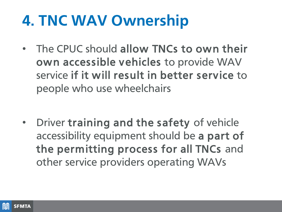## **4. TNC WAV Ownership**

• The CPUC should allow TNCs to own their own accessible vehicles to provide WAV service if it will result in better service to people who use wheelchairs

• Driver training and the safety of vehicle accessibility equipment should be a part of the permitting process for all TNCs and other service providers operating WAVs